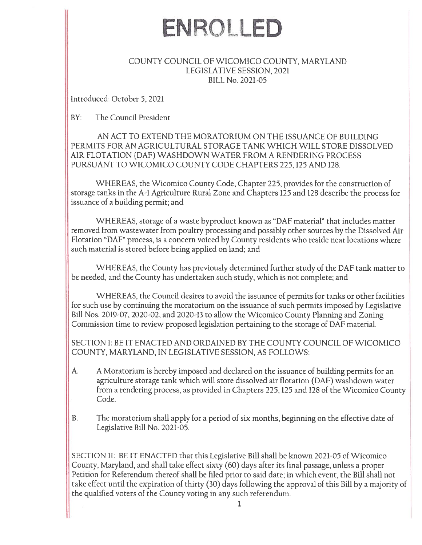# EN ROLLED

### COUNTY COUNCIL OF WICOMICO COUNTY, MARYLAND LEGISLATiVE SESSION, 2021 BILL No. 2021-05

Introduced: October 5, 2021

BY: The Council President

AN ACT TO EXTEND THE MORATORIUM ON THE ISSUANCE OF BUILDING PERMITS FOR AN AGRICULTURAL STORAGE TANK WHICH WILL STORE DISSOLVED AIR FLOTATION (DAF) WASHDOWN WATER FROM A RENDERING PROCESS PURSUANT TO WICOMICO COUNTY CODE CHAPTERS 225,125 AND 128.

WHEREAS, the Wicomico County Code, Chapter 225, provides for the construction of storage tanks in the A-i Agriculture Rural Zone and Chapters 125 and 128 describe the process for issuance of <sup>a</sup> building permit: and

WHEREAS, storage of <sup>a</sup> waste byproduct known as "DAF material" that includes matter removed from wastewater from poultry processing and possibly other sources by the Dissolved Air Flotation "DAF" process, is <sup>a</sup> concern voiced by County residents who reside near locations where such material is stored before being applied on land: and

WHEREAS, the County has previously determined further study of the DAF tank matter to be needed, and the County has undertaken such study, which is not complete: and

WHEREAS, the Council desires to avoid the issuance of permits for tanks or other facilities for such use by continuing the moratorium on the issuance of such permits imposed by Legislative Bill Nos. 2019-07, 2020-02, and 2020-13 to allow the Wicomico County Planning and Zoning Commission time to review proposed legislation pertaining to the storage of DAF material.

SECTION 1: BE IT ENACTED AND ORDAINED BY THE COUNTY COUNCiL OF WICOMICO COUNTY, MARYLAND, IN LEGISLATIVE SESSION, AS FOLLOWS:

- A. A Moratorium is hereby imposed and declared on the issuance of building permits for an agriculture storage tank which will store dissolved air flotation (DAF) washdown water from <sup>a</sup> rendering process, as provided in Chapters 225, 125 and 128 of the Wicomico County Code.
- B. The moratorium shall apply for <sup>a</sup> period of six months, beginning on the effective date of Legislative Bill No. 2021-05.

SECTiON II: BE IT ENACTED that this Legislative Bill shall be known 2021-05 of Wicomico County, Maryland, and shall take effect sixty (60) days after its final passage, unless <sup>a</sup> proper Petition for Referendum thereof shall he filed prior to said date: in which event, the Bill shall not take effect until the expiration of thirty (30) days following the approval of this Bill by <sup>a</sup> majority of the qualified voters of the County voting in any such referendum.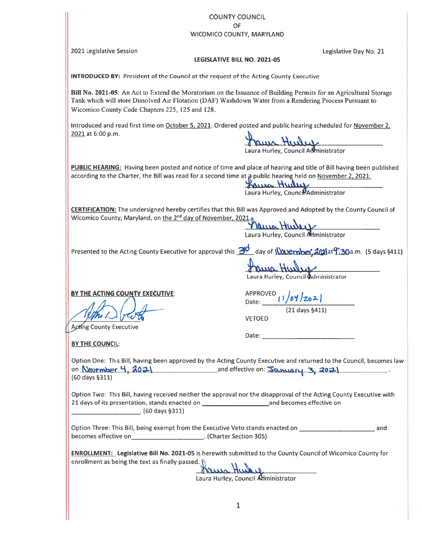## COUNTY COUNCIL OF

#### WICOMICO COUNTY, MARYLAND

2021 Legislative Session Legislative Day No. 21

#### LEGISLATIVE BILL NO. 2021-05

INTRODUCED BY: President of the Council at the reques<sup>t</sup> of the Acting County Executive

Bill No. 2021-05: An Act to Extend the Moratorium on the Issuance of Building Permits for an Agricultural Storage Tank which will store Dissolved Air Flotation (DAF) Washdown Water from <sup>a</sup> Rendering Process Pursuant to Wicomico County Code Chapters 225, 125 and 128. COUNTY COUNCIL<br>
PVICOMICO COUNTY, MARYLAND<br> **EXERCISSIATIVE BILL NO. 2021-05**<br> **EXERCISSIATIVE BILL NO. 2021-05**<br> **EXERCISSIATIVE BILL NO. 2021-05**<br> **EXERCISSIATIVE EXECUTIVE COUNTY EXECUTIVE COUNTY EXECUTIVE COUNTY CONTI** COUNTY COUNCIL<br>
WECOMICO COUNTY, MARYLAND<br>
MTROOUCED BY: President of the Council at the request of the Acting County Executive<br>
EMIX A021-05: An Act to Extend the Nontrolnin on the Intanacco of Building Premist for an Ag

Introduced and read first time on October 5, 2021. Ordered posted and public hearing scheduled for November 2,  $2021$  at 6:00 p.m.

PUBLIC HEARING: Having been posted and notice of time and place of hearing and title of Bill having been published according to the Charter, the Bill was read for a second time at a public hearing held on November 2, 2021.

Lulut Anna Laura Hurley, Council Administrator

CERTIFICATION: The undersigned hereby certifies that this Bill was Approved and Adopted by the County Council of Wicomico County, Maryland, on <u>the 2<sup>na</sup> day of November, 2021.</u><sub>I</sub>

Laura Hurley, Council Administrator

aua Hulup

Laura Hurley, Council Administrator

Date:

BY THE ACTING COUNTY EXECUTIVE:<br>Date:  $\sqrt{\frac{1}{8}}$ 

 $\sqrt{21} \text{ days } 5411$ 

Acting County Executive

BY THE COUNCIL:

Option One: This Bill, having been approved by the Acting County Executive and returned to the Council, becomes law on November 4, 2021 and effective on:  $S_{\alpha\alpha\alpha\alpha\beta}$  3, 2021 (60 days §311)

Option Two: This Bill, having received neither the approval nor the disapproval of the Acting County Executive with 21 days of its presentation, stands enacted on \_\_\_\_\_\_\_\_\_\_\_\_\_\_\_\_\_\_\_\_\_\_\_\_\_\_\_\_\_and becomes effective on (60 days §311)

becomes effective on\_\_\_\_\_\_\_\_\_\_\_\_\_\_\_\_\_\_\_\_\_\_. (Charter Section 305)

ENROLLMENT: Legislative Bill No. 2021-05 is herewith submitted to the County Council of Wicomico County for enrollment as being the text as finally passed.

Jauna Hunder

Laura Hurley, Council Administrator

Laura Hurley, Council Administrator